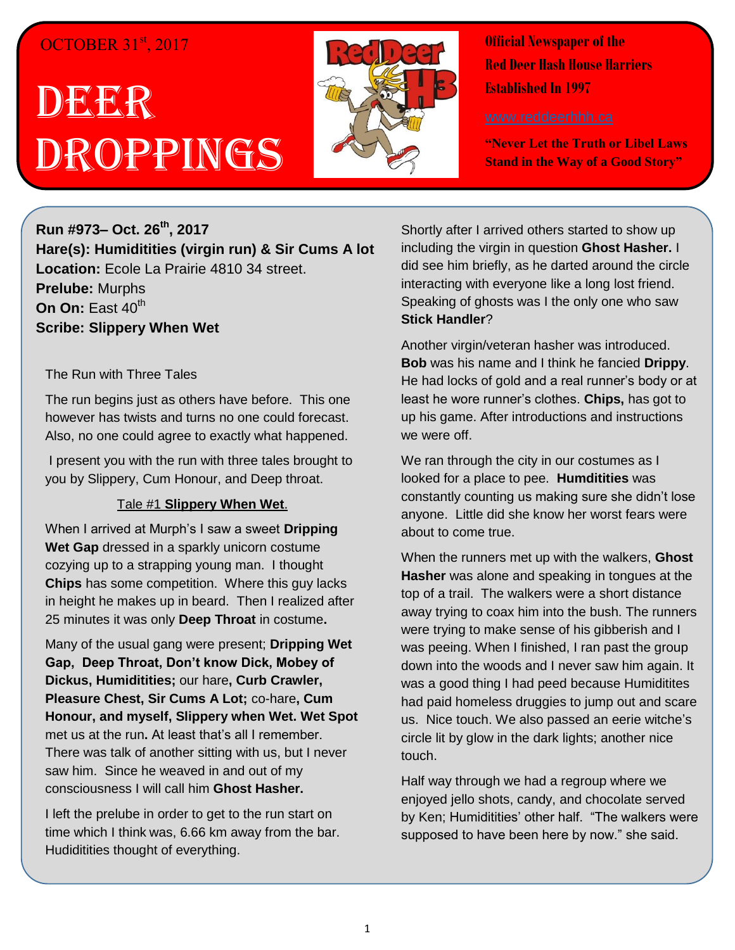# OCTOBER 31st, 2017

# DEER Droppings



**Official Newspaper of the Red Deer Hash House Harriers Established In 1997** 

**"Never Let the Truth or Libel Laws Stand in the Way of a Good Story"**

**Run #973– Oct. 26th , 2017 Hare(s): Humiditities (virgin run) & Sir Cums A lot Location:** Ecole La Prairie 4810 34 street. **Prelube:** Murphs **On On:** East 40<sup>th</sup> **Scribe: Slippery When Wet**

#### The Run with Three Tales

The run begins just as others have before. This one however has twists and turns no one could forecast. Also, no one could agree to exactly what happened.

I present you with the run with three tales brought to you by Slippery, Cum Honour, and Deep throat.

#### Tale #1 **Slippery When Wet**.

When I arrived at Murph's I saw a sweet **Dripping Wet Gap** dressed in a sparkly unicorn costume cozying up to a strapping young man. I thought **Chips** has some competition. Where this guy lacks in height he makes up in beard. Then I realized after 25 minutes it was only **Deep Throat** in costume**.** 

Many of the usual gang were present; **Dripping Wet Gap, Deep Throat, Don't know Dick, Mobey of Dickus, Humiditities;** our hare**, Curb Crawler, Pleasure Chest, Sir Cums A Lot;** co-hare**, Cum Honour, and myself, Slippery when Wet. Wet Spot**  met us at the run**.** At least that's all I remember. There was talk of another sitting with us, but I never saw him. Since he weaved in and out of my consciousness I will call him **Ghost Hasher.** 

I left the prelube in order to get to the run start on time which I think was, 6.66 km away from the bar. Hudiditities thought of everything.

Shortly after I arrived others started to show up including the virgin in question **Ghost Hasher.** I did see him briefly, as he darted around the circle interacting with everyone like a long lost friend. Speaking of ghosts was I the only one who saw **Stick Handler**?

Another virgin/veteran hasher was introduced. **Bob** was his name and I think he fancied **Drippy**. He had locks of gold and a real runner's body or at least he wore runner's clothes. **Chips,** has got to up his game. After introductions and instructions we were off.

We ran through the city in our costumes as I looked for a place to pee. **Humditities** was constantly counting us making sure she didn't lose anyone. Little did she know her worst fears were about to come true.

When the runners met up with the walkers, **Ghost Hasher** was alone and speaking in tongues at the top of a trail. The walkers were a short distance away trying to coax him into the bush. The runners were trying to make sense of his gibberish and I was peeing. When I finished, I ran past the group down into the woods and I never saw him again. It was a good thing I had peed because Humiditites had paid homeless druggies to jump out and scare us. Nice touch. We also passed an eerie witche's circle lit by glow in the dark lights; another nice touch.

Half way through we had a regroup where we enjoyed jello shots, candy, and chocolate served by Ken; Humiditities' other half. "The walkers were supposed to have been here by now." she said.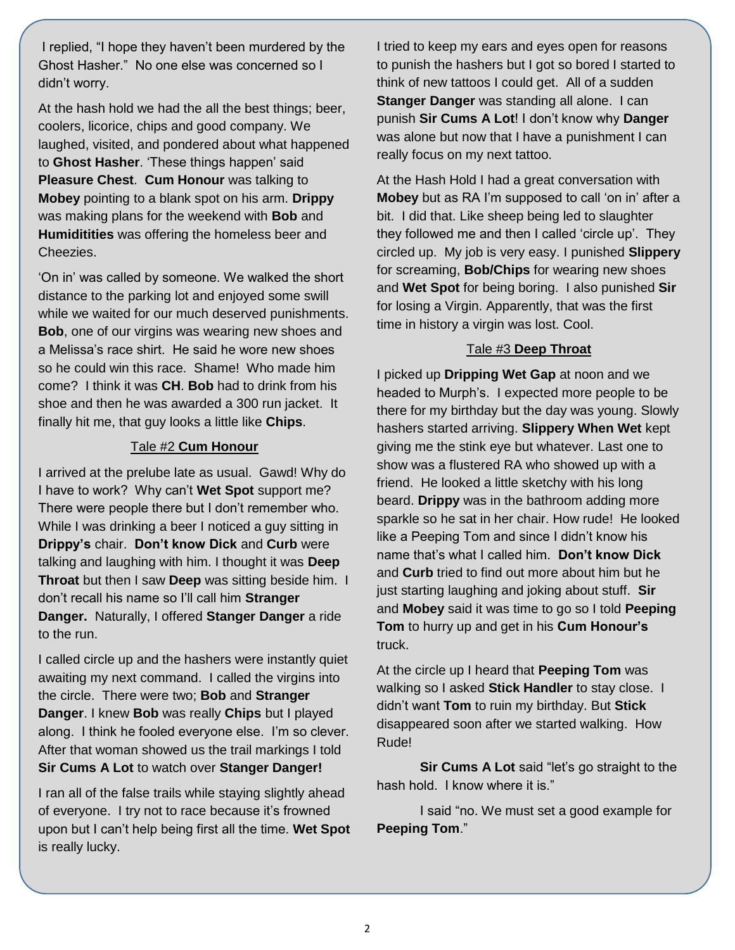I replied, "I hope they haven't been murdered by the Ghost Hasher." No one else was concerned so I didn't worry.

At the hash hold we had the all the best things; beer, coolers, licorice, chips and good company. We laughed, visited, and pondered about what happened to **Ghost Hasher**. 'These things happen' said **Pleasure Chest**. **Cum Honour** was talking to **Mobey** pointing to a blank spot on his arm. **Drippy** was making plans for the weekend with **Bob** and **Humiditities** was offering the homeless beer and Cheezies.

'On in' was called by someone. We walked the short distance to the parking lot and enjoyed some swill while we waited for our much deserved punishments. **Bob**, one of our virgins was wearing new shoes and a Melissa's race shirt. He said he wore new shoes so he could win this race. Shame! Who made him come? I think it was **CH**. **Bob** had to drink from his shoe and then he was awarded a 300 run jacket. It finally hit me, that guy looks a little like **Chips**.

#### Tale #2 **Cum Honour**

I arrived at the prelube late as usual. Gawd! Why do I have to work? Why can't **Wet Spot** support me? There were people there but I don't remember who. While I was drinking a beer I noticed a guy sitting in **Drippy's** chair. **Don't know Dick** and **Curb** were talking and laughing with him. I thought it was **Deep Throat** but then I saw **Deep** was sitting beside him. I don't recall his name so I'll call him **Stranger Danger.** Naturally, I offered **Stanger Danger** a ride to the run.

I called circle up and the hashers were instantly quiet awaiting my next command. I called the virgins into the circle. There were two; **Bob** and **Stranger Danger**. I knew **Bob** was really **Chips** but I played along. I think he fooled everyone else. I'm so clever. After that woman showed us the trail markings I told **Sir Cums A Lot** to watch over **Stanger Danger!**

I ran all of the false trails while staying slightly ahead of everyone. I try not to race because it's frowned upon but I can't help being first all the time. **Wet Spot** is really lucky.

I tried to keep my ears and eyes open for reasons to punish the hashers but I got so bored I started to think of new tattoos I could get. All of a sudden **Stanger Danger** was standing all alone. I can punish **Sir Cums A Lot**! I don't know why **Danger** was alone but now that I have a punishment I can really focus on my next tattoo.

At the Hash Hold I had a great conversation with **Mobey** but as RA I'm supposed to call 'on in' after a bit. I did that. Like sheep being led to slaughter they followed me and then I called 'circle up'. They circled up. My job is very easy. I punished **Slippery** for screaming, **Bob/Chips** for wearing new shoes and **Wet Spot** for being boring. I also punished **Sir** for losing a Virgin. Apparently, that was the first time in history a virgin was lost. Cool.

## Tale #3 **Deep Throat**

I picked up **Dripping Wet Gap** at noon and we headed to Murph's. I expected more people to be there for my birthday but the day was young. Slowly hashers started arriving. **Slippery When Wet** kept giving me the stink eye but whatever. Last one to show was a flustered RA who showed up with a friend. He looked a little sketchy with his long beard. **Drippy** was in the bathroom adding more sparkle so he sat in her chair. How rude! He looked like a Peeping Tom and since I didn't know his name that's what I called him. **Don't know Dick** and **Curb** tried to find out more about him but he just starting laughing and joking about stuff. **Sir** and **Mobey** said it was time to go so I told **Peeping Tom** to hurry up and get in his **Cum Honour's** truck.

At the circle up I heard that **Peeping Tom** was walking so I asked **Stick Handler** to stay close. I didn't want **Tom** to ruin my birthday. But **Stick** disappeared soon after we started walking. How Rude!

**Sir Cums A Lot** said "let's go straight to the hash hold. I know where it is."

I said "no. We must set a good example for **Peeping Tom**."